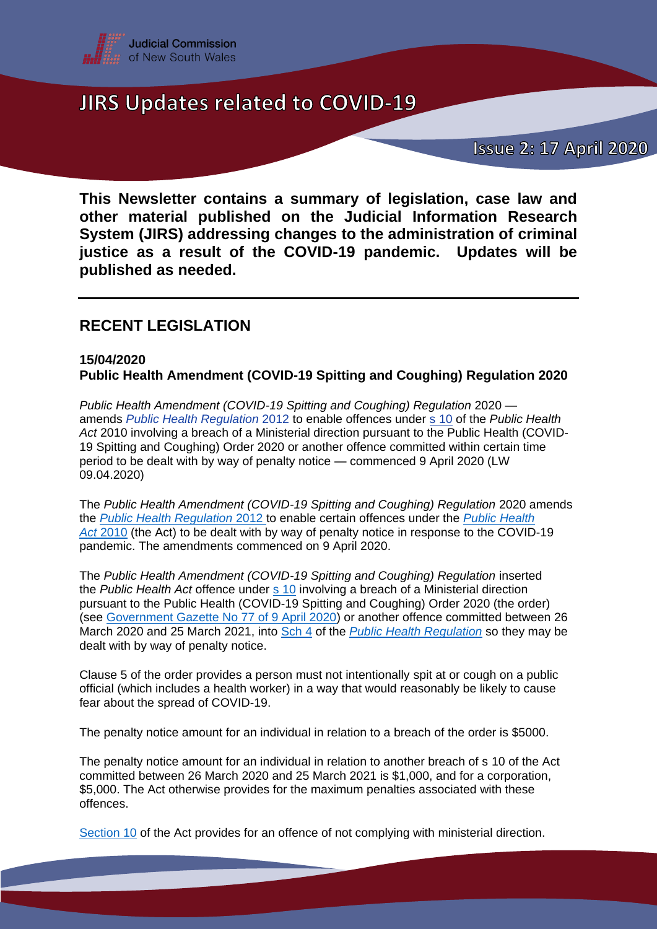

### **Issue 2: 17 April 2020**

**This Newsletter contains a summary of legislation, case law and other material published on the Judicial Information Research System (JIRS) addressing changes to the administration of criminal justice as a result of the COVID-19 pandemic. Updates will be published as needed.**

### **RECENT LEGISLATION**

#### **15/04/2020 Public Health Amendment (COVID-19 Spitting and Coughing) Regulation 2020**

*Public Health Amendment (COVID-19 Spitting and Coughing) Regulation* 2020 amends *[Public Health Regulation](https://www.legislation.nsw.gov.au/#/view/regulation/2012/311/full)* [2012](https://jirs.judcom.nsw.gov.au/php/legn_docs.php?path=archlaw/nswreg/2012-311/2020-03-25) to enable offences under s [10](https://www.legislation.nsw.gov.au/#/view/act/2010/127/part2/sec10) of the *Public Health Act* 2010 involving a breach of a Ministerial direction pursuant to the Public Health (COVID-19 Spitting and Coughing) Order 2020 or another offence committed within certain time period to be dealt with by way of penalty notice — commenced 9 April 2020 (LW 09.04.2020)

The *Public Health Amendment (COVID-19 Spitting and Coughing) Regulation* 2020 amends the *[Public Health Regulation](https://www.legislation.nsw.gov.au/#/view/regulation/2012/311/full)* [2012](https://www.legislation.nsw.gov.au/#/view/regulation/2012/311/full) to enable certain offences under the *[Public Health](https://www.legislation.nsw.gov.au/#/view/act/2010/127)  [Act](https://www.legislation.nsw.gov.au/#/view/act/2010/127)* [2010](https://jirs.judcom.nsw.gov.au/php/legn_docs.php?path=archlaw/nswact/2010-127/2020-03-20) (the Act) to be dealt with by way of penalty notice in response to the COVID-19 pandemic. The amendments commenced on 9 April 2020.

The *Public Health Amendment (COVID-19 Spitting and Coughing) Regulation* inserted the *Public Health Act* offence under s [10](https://www.legislation.nsw.gov.au/#/view/act/2010/127/part2/sec10) involving a breach of a Ministerial direction pursuant to the Public Health (COVID-19 Spitting and Coughing) Order 2020 (the order) (see [Government Gazette No 77 of 9 April 2020\)](https://gazette.legislation.nsw.gov.au/so/download.w3p?id=Gazette_2020_2020-77.pdf) or another offence committed between 26 March 2020 and 25 March 2021, into [Sch 4](https://www.legislation.nsw.gov.au/#/view/regulation/2012/311/sch4) of the *[Public Health Regulation](https://www.legislation.nsw.gov.au/#/view/regulation/2012/311)* so they may be dealt with by way of penalty notice.

Clause 5 of the order provides a person must not intentionally spit at or cough on a public official (which includes a health worker) in a way that would reasonably be likely to cause fear about the spread of COVID-19.

The penalty notice amount for an individual in relation to a breach of the order is \$5000.

The penalty notice amount for an individual in relation to another breach of s 10 of the Act committed between 26 March 2020 and 25 March 2021 is \$1,000, and for a corporation, \$5,000. The Act otherwise provides for the maximum penalties associated with these offences.

[Section 10](https://www.legislation.nsw.gov.au/#/view/act/2010/127/part2/sec10) of the Act provides for an offence of not complying with ministerial direction.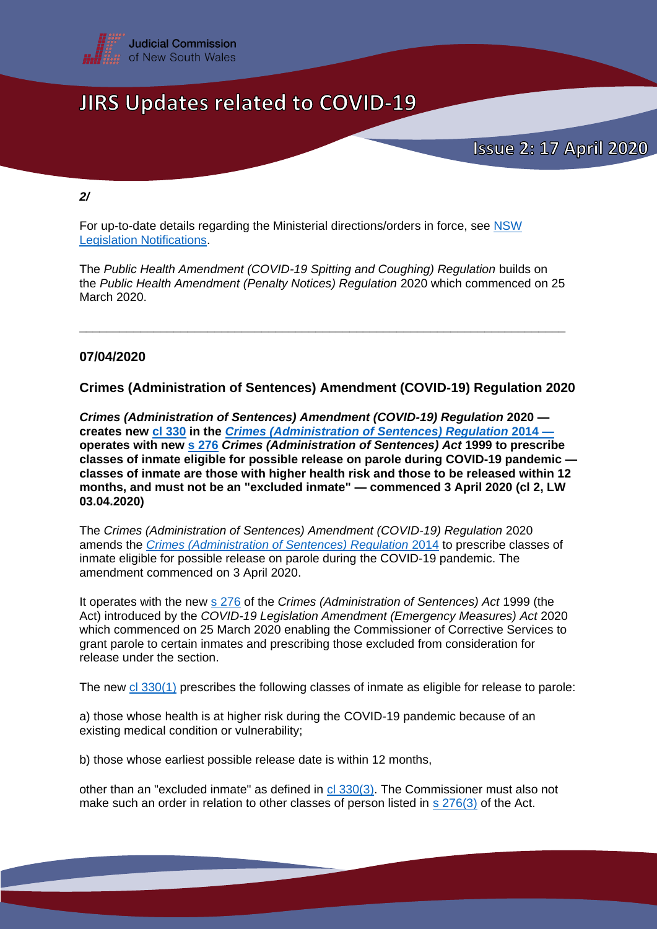

*2/*

For up-to-date details regarding the Ministerial directions/orders in force, see [NSW](https://www.legislation.nsw.gov.au/#/notifications)  [Legislation Notifications.](https://www.legislation.nsw.gov.au/#/notifications)

The *Public Health Amendment (COVID-19 Spitting and Coughing) Regulation* builds on the *Public Health Amendment (Penalty Notices) Regulation* 2020 which commenced on 25 March 2020.

**\_\_\_\_\_\_\_\_\_\_\_\_\_\_\_\_\_\_\_\_\_\_\_\_\_\_\_\_\_\_\_\_\_\_\_\_\_\_\_\_\_\_\_\_\_\_\_\_\_\_\_\_\_\_\_\_\_\_\_\_\_\_\_\_\_\_\_\_\_\_\_\_**

#### **07/04/2020**

**Crimes (Administration of Sentences) Amendment (COVID-19) Regulation 2020** 

*Crimes (Administration of Sentences) Amendment (COVID-19) Regulation* **2020 creates new [cl 330](https://www.legislation.nsw.gov.au/#/view/regulation/2014/550/part23/sec330) in the** *[Crimes \(Administration of Sentences\) Regulation](https://www.legislation.nsw.gov.au/#/view/regulation/2014/550)* **2014 operates with new s [276](https://www.legislation.nsw.gov.au/#/view/act/1999/93/part15/sec276)** *Crimes (Administration of Sentences) Act* **1999 to prescribe classes of inmate eligible for possible release on parole during COVID-19 pandemic classes of inmate are those with higher health risk and those to be released within 12 months, and must not be an "excluded inmate" — commenced 3 April 2020 (cl 2, LW 03.04.2020)**

The *Crimes (Administration of Sentences) Amendment (COVID-19) Regulation* 2020 amends the *[Crimes \(Administration of Sentences\) Regulation](https://www.legislation.nsw.gov.au/#/view/regulation/2014/550)* 2014 to prescribe classes of inmate eligible for possible release on parole during the COVID-19 pandemic. The amendment commenced on 3 April 2020.

It operates with the new s [276](https://www.legislation.nsw.gov.au/#/view/act/1999/93/part15/sec276) of the *Crimes (Administration of Sentences) Act* 1999 (the Act) introduced by the *COVID-19 Legislation Amendment (Emergency Measures) Act* 2020 which commenced on 25 March 2020 enabling the Commissioner of Corrective Services to grant parole to certain inmates and prescribing those excluded from consideration for release under the section.

The new [cl 330\(1\)](https://www.legislation.nsw.gov.au/#/view/regulation/2014/550/part23/sec330) prescribes the following classes of inmate as eligible for release to parole:

a) those whose health is at higher risk during the COVID-19 pandemic because of an existing medical condition or vulnerability;

b) those whose earliest possible release date is within 12 months,

other than an "excluded inmate" as defined in [cl 330\(3\).](https://www.legislation.nsw.gov.au/#/view/regulation/2014/550/part23/sec330) The Commissioner must also not make such an order in relation to other classes of person listed in s [276\(3\)](https://www.legislation.nsw.gov.au/#/view/act/1999/93/part15/sec276) of the Act.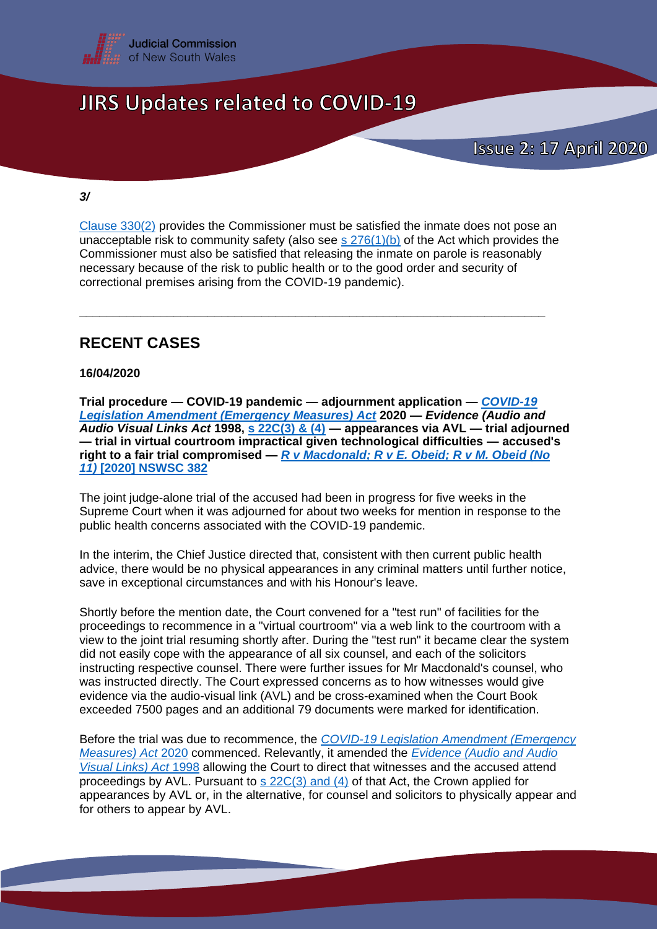

#### *3/*

[Clause 330\(2\)](https://www.legislation.nsw.gov.au/#/view/regulation/2014/550/part23/sec330) provides the Commissioner must be satisfied the inmate does not pose an unacceptable risk to community safety (also see s  $276(1)(b)$  of the Act which provides the Commissioner must also be satisfied that releasing the inmate on parole is reasonably necessary because of the risk to public health or to the good order and security of correctional premises arising from the COVID-19 pandemic).

**\_\_\_\_\_\_\_\_\_\_\_\_\_\_\_\_\_\_\_\_\_\_\_\_\_\_\_\_\_\_\_\_\_\_\_\_\_\_\_\_\_\_\_\_\_\_\_\_\_\_\_\_\_\_\_\_\_\_\_\_\_\_\_\_\_\_\_\_\_**

### **RECENT CASES**

#### **16/04/2020**

**Trial procedure — COVID-19 pandemic — adjournment application —** *[COVID-19](https://www.legislation.nsw.gov.au/#/view/act/2020/1)  [Legislation Amendment \(Emergency Measures\) Act](https://www.legislation.nsw.gov.au/#/view/act/2020/1)* **2020 —** *Evidence (Audio and Audio Visual Links Act* **1998, s [22C\(3\) & \(4\)](https://www.legislation.nsw.gov.au/#/view/act/1998/105/part4/sec22c) — appearances via AVL — trial adjourned — trial in virtual courtroom impractical given technological difficulties — accused's right to a fair trial compromised —** *R v [Macdonald; R](http://www.austlii.edu.au/cgi-bin/viewdoc/au/cases/nsw/NSWSC/2020/382.html?_sm_byp=iVV76Lrw3126153s) v E. Obeid; R v M. Obeid (No [11\)](http://www.austlii.edu.au/cgi-bin/viewdoc/au/cases/nsw/NSWSC/2020/382.html?_sm_byp=iVV76Lrw3126153s)* **[\[2020\] NSWSC 382](https://jirs.judcom.nsw.gov.au/nswsc/judgments/2020/2020_NSWSC_382.html)**

The joint judge-alone trial of the accused had been in progress for five weeks in the Supreme Court when it was adjourned for about two weeks for mention in response to the public health concerns associated with the COVID-19 pandemic.

In the interim, the Chief Justice directed that, consistent with then current public health advice, there would be no physical appearances in any criminal matters until further notice, save in exceptional circumstances and with his Honour's leave.

Shortly before the mention date, the Court convened for a "test run" of facilities for the proceedings to recommence in a "virtual courtroom" via a web link to the courtroom with a view to the joint trial resuming shortly after. During the "test run" it became clear the system did not easily cope with the appearance of all six counsel, and each of the solicitors instructing respective counsel. There were further issues for Mr Macdonald's counsel, who was instructed directly. The Court expressed concerns as to how witnesses would give evidence via the audio-visual link (AVL) and be cross-examined when the Court Book exceeded 7500 pages and an additional 79 documents were marked for identification.

Before the trial was due to recommence, the *[COVID-19 Legislation Amendment \(Emergency](https://www.legislation.nsw.gov.au/#/view/act/2020/1)  [Measures\) Act](https://www.legislation.nsw.gov.au/#/view/act/2020/1)* [2020](https://jirs.judcom.nsw.gov.au/php/legn_docs.php?path=archlaw/nswact/2020-1/2020-03-25) commenced. Relevantly, it amended the *[Evidence \(Audio and Audio](https://www.legislation.nsw.gov.au/#/view/act/1998/105/full)  [Visual Links\) Act](https://www.legislation.nsw.gov.au/#/view/act/1998/105/full)* [1998](https://jirs.judcom.nsw.gov.au/php/legn_docs.php?path=archlaw/nswact/1998-105/2020-03-25) allowing the Court to direct that witnesses and the accused attend proceedings by AVL. Pursuant to  $s$  [22C\(3\) and \(4\)](https://www.legislation.nsw.gov.au/#/view/act/1998/105/part4/sec22c) of that Act, the Crown applied for appearances by AVL or, in the alternative, for counsel and solicitors to physically appear and for others to appear by AVL.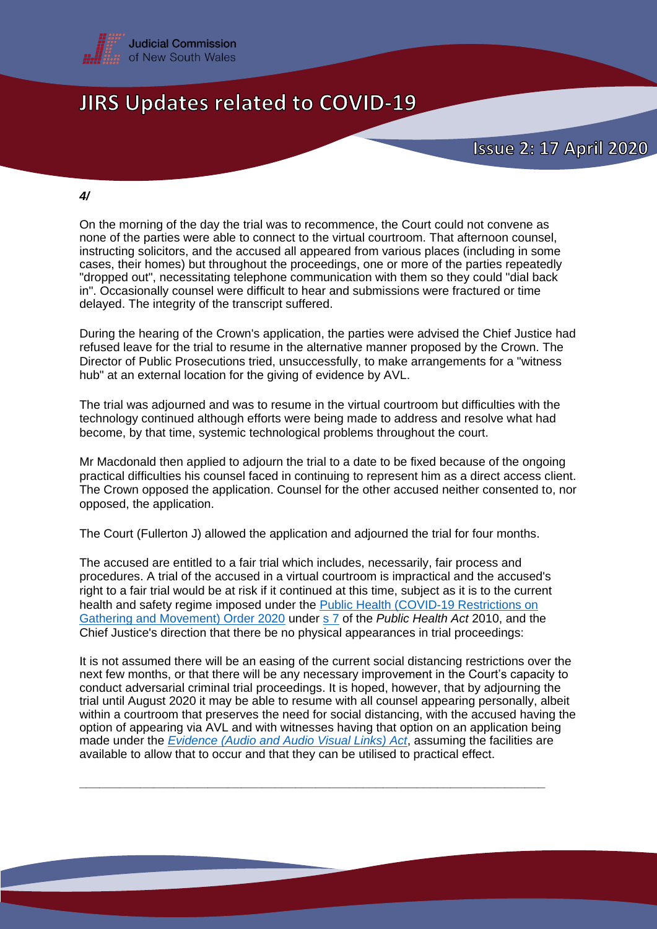

#### *4/*

On the morning of the day the trial was to recommence, the Court could not convene as none of the parties were able to connect to the virtual courtroom. That afternoon counsel, instructing solicitors, and the accused all appeared from various places (including in some cases, their homes) but throughout the proceedings, one or more of the parties repeatedly "dropped out", necessitating telephone communication with them so they could "dial back in". Occasionally counsel were difficult to hear and submissions were fractured or time delayed. The integrity of the transcript suffered.

During the hearing of the Crown's application, the parties were advised the Chief Justice had refused leave for the trial to resume in the alternative manner proposed by the Crown. The Director of Public Prosecutions tried, unsuccessfully, to make arrangements for a "witness hub" at an external location for the giving of evidence by AVL.

The trial was adjourned and was to resume in the virtual courtroom but difficulties with the technology continued although efforts were being made to address and resolve what had become, by that time, systemic technological problems throughout the court.

Mr Macdonald then applied to adjourn the trial to a date to be fixed because of the ongoing practical difficulties his counsel faced in continuing to represent him as a direct access client. The Crown opposed the application. Counsel for the other accused neither consented to, nor opposed, the application.

The Court (Fullerton J) allowed the application and adjourned the trial for four months.

The accused are entitled to a fair trial which includes, necessarily, fair process and procedures. A trial of the accused in a virtual courtroom is impractical and the accused's right to a fair trial would be at risk if it continued at this time, subject as it is to the current health and safety regime imposed under the **Public Health (COVID-19 Restrictions on** [Gathering and Movement\) Order 2020](https://gazette.legislation.nsw.gov.au/so/download.w3p?id=Gazette_2020_2020-65.pdf) under s [7](https://www.legislation.nsw.gov.au/#/view/act/2010/127/part2/sec7) of the *Public Health Act* 2010, and the Chief Justice's direction that there be no physical appearances in trial proceedings:

It is not assumed there will be an easing of the current social distancing restrictions over the next few months, or that there will be any necessary improvement in the Court's capacity to conduct adversarial criminal trial proceedings. It is hoped, however, that by adjourning the trial until August 2020 it may be able to resume with all counsel appearing personally, albeit within a courtroom that preserves the need for social distancing, with the accused having the option of appearing via AVL and with witnesses having that option on an application being made under the *[Evidence \(Audio and Audio Visual Links\) Act](https://www.legislation.nsw.gov.au/#/view/act/1998/105/full)*, assuming the facilities are available to allow that to occur and that they can be utilised to practical effect.

**\_\_\_\_\_\_\_\_\_\_\_\_\_\_\_\_\_\_\_\_\_\_\_\_\_\_\_\_\_\_\_\_\_\_\_\_\_\_\_\_\_\_\_\_\_\_\_\_\_\_\_\_\_\_\_\_\_\_\_\_\_\_\_\_\_\_\_\_\_**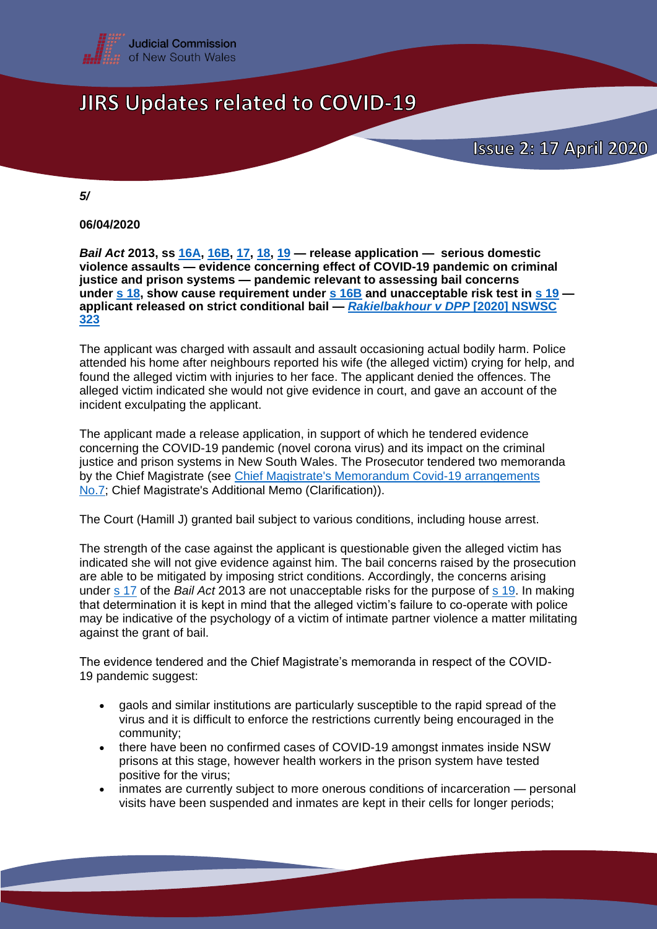

*5/*

**06/04/2020**

*Bail Act* **2013, ss [16A,](https://www.legislation.nsw.gov.au/#/view/act/2013/26/part3/div1a/sec16a) [16B,](https://www.legislation.nsw.gov.au/#/view/act/2013/26/part3/div1a/sec16b) [17,](https://www.legislation.nsw.gov.au/#/view/act/2013/26/part3/div2/sec17) [18,](https://www.legislation.nsw.gov.au/#/view/act/2013/26/part3/div2/sec18) [19](https://www.legislation.nsw.gov.au/#/view/act/2013/26/part3/div2/sec19) — release application — serious domestic violence assaults — evidence concerning effect of COVID-19 pandemic on criminal justice and prison systems — pandemic relevant to assessing bail concerns under s [18,](https://www.legislation.nsw.gov.au/#/view/act/2013/26/part3/div2/sec17) show cause requirement under s [16B](hhttps://www.legislation.nsw.gov.au/#/view/act/2013/26/part3/div1a/sec16b) and unacceptable risk test in s [19](https://www.legislation.nsw.gov.au/#/view/act/2013/26/part3/div2/sec19) applicant released on strict conditional bail —** *[Rakielbakhour v DPP](http://www.austlii.edu.au/cgi-bin/viewdoc/au/cases/nsw/NSWSC/2020/323.html?_sm_byp=iVVkQj9MC6VSKbPR)* **[2020] NSWSC [323](http://www.austlii.edu.au/cgi-bin/viewdoc/au/cases/nsw/NSWSC/2020/323.html?_sm_byp=iVVkQj9MC6VSKbPR)**

The applicant was charged with assault and assault occasioning actual bodily harm. Police attended his home after neighbours reported his wife (the alleged victim) crying for help, and found the alleged victim with injuries to her face. The applicant denied the offences. The alleged victim indicated she would not give evidence in court, and gave an account of the incident exculpating the applicant.

The applicant made a release application, in support of which he tendered evidence concerning the COVID-19 pandemic (novel corona virus) and its impact on the criminal justice and prison systems in New South Wales. The Prosecutor tendered two memoranda by the Chief Magistrate (see [Chief Magistrate's Memorandum Covid-19 arrangements](http://www.localcourt.justice.nsw.gov.au/Documents/COVID19/chief-magistrate-s-memorandum-7-management-of-domestic-and-personal-violence-proceedings.pdf)  [No.7;](http://www.localcourt.justice.nsw.gov.au/Documents/COVID19/chief-magistrate-s-memorandum-7-management-of-domestic-and-personal-violence-proceedings.pdf) Chief Magistrate's Additional Memo (Clarification)).

The Court (Hamill J) granted bail subject to various conditions, including house arrest.

The strength of the case against the applicant is questionable given the alleged victim has indicated she will not give evidence against him. The bail concerns raised by the prosecution are able to be mitigated by imposing strict conditions. Accordingly, the concerns arising under s [17](https://www.legislation.nsw.gov.au/#/view/act/2013/26/part3/div2/sec17) of the *Bail Act* 2013 are not unacceptable risks for the purpose of s [19.](https://www.legislation.nsw.gov.au/#/view/act/2013/26/part3/div2/sec19) In making that determination it is kept in mind that the alleged victim's failure to co-operate with police may be indicative of the psychology of a victim of intimate partner violence a matter militating against the grant of bail.

The evidence tendered and the Chief Magistrate's memoranda in respect of the COVID-19 pandemic suggest:

- gaols and similar institutions are particularly susceptible to the rapid spread of the virus and it is difficult to enforce the restrictions currently being encouraged in the community;
- there have been no confirmed cases of COVID-19 amongst inmates inside NSW prisons at this stage, however health workers in the prison system have tested positive for the virus;
- inmates are currently subject to more onerous conditions of incarceration personal visits have been suspended and inmates are kept in their cells for longer periods;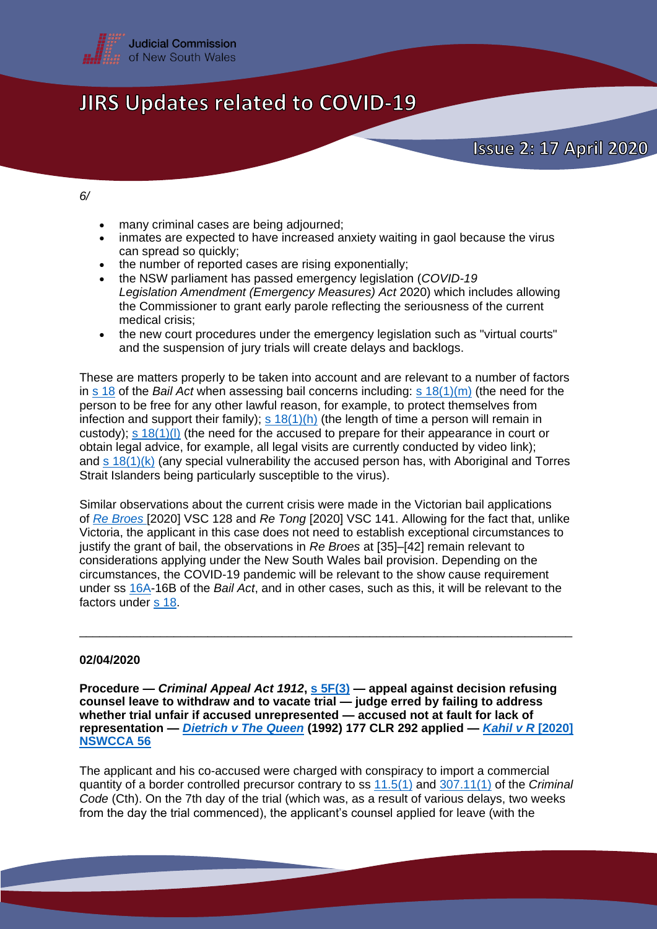

#### *6/*

- many criminal cases are being adjourned;
- inmates are expected to have increased anxiety waiting in gaol because the virus can spread so quickly;
- the number of reported cases are rising exponentially;<br>• the NSW parliament has passed emergency legislation
- the NSW parliament has passed emergency legislation (*COVID-19 Legislation Amendment (Emergency Measures) Act* 2020) which includes allowing the Commissioner to grant early parole reflecting the seriousness of the current medical crisis;
- the new court procedures under the emergency legislation such as "virtual courts" and the suspension of jury trials will create delays and backlogs.

These are matters properly to be taken into account and are relevant to a number of factors in s [18](https://www.legislation.nsw.gov.au/#/view/act/2013/26/part3/div2/sec18) of the *Bail Act* when assessing bail concerns including: s [18\(1\)\(m\)](https://www.legislation.nsw.gov.au/#/view/act/2013/26/part3/div2/sec18) (the need for the person to be free for any other lawful reason, for example, to protect themselves from infection and support their family); s  $18(1)(h)$  (the length of time a person will remain in custody); s [18\(1\)\(l\)](https://www.legislation.nsw.gov.au/#/view/act/2013/26/part3/div2/sec18) (the need for the accused to prepare for their appearance in court or obtain legal advice, for example, all legal visits are currently conducted by video link); and s [18\(1\)\(k\)](https://www.legislation.nsw.gov.au/#/view/act/2013/26/part3/div2/sec18) (any special vulnerability the accused person has, with Aboriginal and Torres Strait Islanders being particularly susceptible to the virus).

Similar observations about the current crisis were made in the Victorian bail applications of *[Re Broes](http://www.austlii.edu.au/cgi-bin/viewdoc/au/cases/vic/VSC/2020/128.html)* [2020] VSC 128 and *Re Tong* [2020] VSC 141. Allowing for the fact that, unlike Victoria, the applicant in this case does not need to establish exceptional circumstances to justify the grant of bail, the observations in *Re Broes* at [35]–[42] remain relevant to considerations applying under the New South Wales bail provision. Depending on the circumstances, the COVID-19 pandemic will be relevant to the show cause requirement under ss [16A-](https://www.legislation.nsw.gov.au/#/view/act/2013/26/part3/div1a/sec16a)16B of the *Bail Act*, and in other cases, such as this, it will be relevant to the factors under s [18.](https://www.legislation.nsw.gov.au/#/view/act/2013/26/part3/div2/sec18)

\_\_\_\_\_\_\_\_\_\_\_\_\_\_\_\_\_\_\_\_\_\_\_\_\_\_\_\_\_\_\_\_\_\_\_\_\_\_\_\_\_\_\_\_\_\_\_\_\_\_\_\_\_\_\_\_\_\_\_\_\_\_\_\_\_\_\_\_\_\_\_\_\_

#### **02/04/2020**

**Procedure —** *Criminal Appeal Act 1912***, s [5F\(3\)](https://www.legislation.nsw.gov.au/#/view/act/1912/16/part3/sec5f) — appeal against decision refusing counsel leave to withdraw and to vacate trial — judge erred by failing to address whether trial unfair if accused unrepresented — accused not at fault for lack of representation —** *[Dietrich v The Queen](http://eresources.hcourt.gov.au/showbyHandle/1/9769)* **(1992) 177 CLR 292 applied —** *[Kahil v R](http://www.austlii.edu.au/cgi-bin/viewdoc/au/cases/nsw/NSWCCA/2020/56.html?_sm_byp=iVVkQj9MC6VSKbPR)* **[2020] [NSWCCA 56](http://www.austlii.edu.au/cgi-bin/viewdoc/au/cases/nsw/NSWCCA/2020/56.html?_sm_byp=iVVkQj9MC6VSKbPR)**

The applicant and his co-accused were charged with conspiracy to import a commercial quantity of a border controlled precursor contrary to ss [11.5\(1\)](https://www.legislation.gov.au/Details/C2020C00120) and [307.11\(1\)](https://www.legislation.gov.au/Details/C2020C00120) of the *Criminal Code* (Cth). On the 7th day of the trial (which was, as a result of various delays, two weeks from the day the trial commenced), the applicant's counsel applied for leave (with the